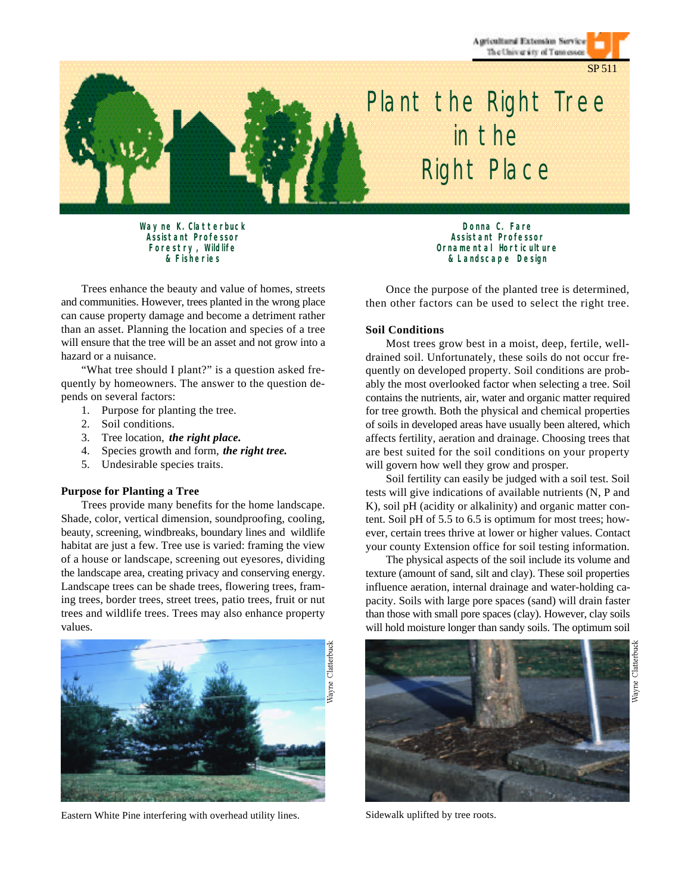Agricultural Extension Service The University of Tennessee

SP 511



# *Plant the Right Tree in the Right Place*

*Wayne K. Clatterbuck Assistant Professor Forestry, Wildlife & Fisheries*

Trees enhance the beauty and value of homes, streets and communities. However, trees planted in the wrong place can cause property damage and become a detriment rather than an asset. Planning the location and species of a tree will ensure that the tree will be an asset and not grow into a hazard or a nuisance.

"What tree should I plant?" is a question asked frequently by homeowners. The answer to the question depends on several factors:

- 1. Purpose for planting the tree.
- 2. Soil conditions.
- 3. Tree location, *the right place.*
- 4. Species growth and form, *the right tree.*
- 5. Undesirable species traits.

#### **Purpose for Planting a Tree**

Trees provide many benefits for the home landscape. Shade, color, vertical dimension, soundproofing, cooling, beauty, screening, windbreaks, boundary lines and wildlife habitat are just a few. Tree use is varied: framing the view of a house or landscape, screening out eyesores, dividing the landscape area, creating privacy and conserving energy. Landscape trees can be shade trees, flowering trees, framing trees, border trees, street trees, patio trees, fruit or nut trees and wildlife trees. Trees may also enhance property values.



Eastern White Pine interfering with overhead utility lines. Sidewalk uplifted by tree roots.

*Donna C. Fare Assistant Professor Ornamental Horticulture & Landscape Design*

Once the purpose of the planted tree is determined, then other factors can be used to select the right tree.

#### **Soil Conditions**

Most trees grow best in a moist, deep, fertile, welldrained soil. Unfortunately, these soils do not occur frequently on developed property. Soil conditions are probably the most overlooked factor when selecting a tree. Soil contains the nutrients, air, water and organic matter required for tree growth. Both the physical and chemical properties of soils in developed areas have usually been altered, which affects fertility, aeration and drainage. Choosing trees that are best suited for the soil conditions on your property will govern how well they grow and prosper.

Soil fertility can easily be judged with a soil test. Soil tests will give indications of available nutrients (N, P and K), soil pH (acidity or alkalinity) and organic matter content. Soil pH of 5.5 to 6.5 is optimum for most trees; however, certain trees thrive at lower or higher values. Contact your county Extension office for soil testing information.

The physical aspects of the soil include its volume and texture (amount of sand, silt and clay). These soil properties influence aeration, internal drainage and water-holding capacity. Soils with large pore spaces (sand) will drain faster than those with small pore spaces (clay). However, clay soils will hold moisture longer than sandy soils. The optimum soil

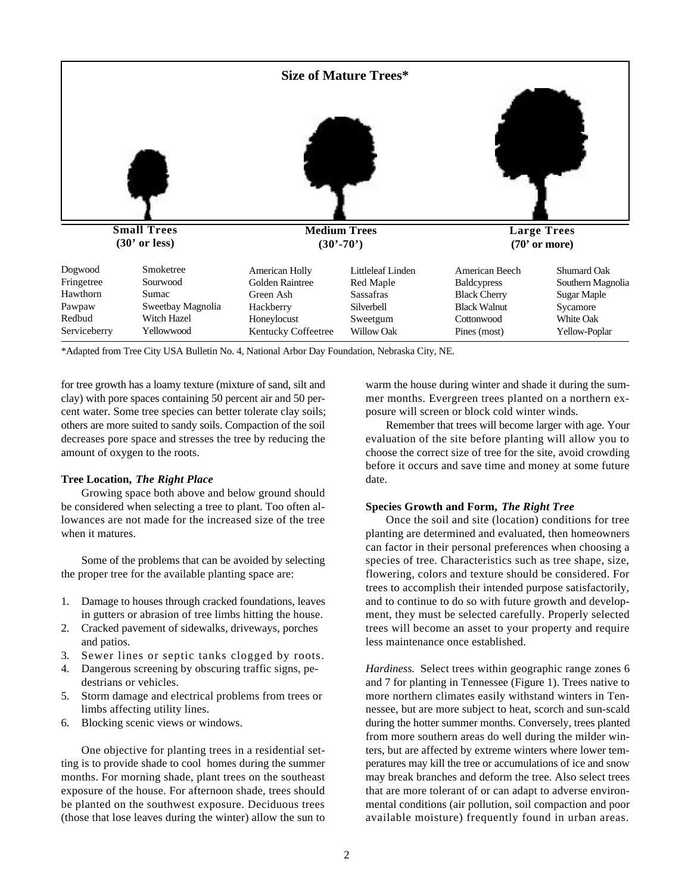

\*Adapted from Tree City USA Bulletin No. 4, National Arbor Day Foundation, Nebraska City, NE.

for tree growth has a loamy texture (mixture of sand, silt and clay) with pore spaces containing 50 percent air and 50 percent water. Some tree species can better tolerate clay soils; others are more suited to sandy soils. Compaction of the soil decreases pore space and stresses the tree by reducing the amount of oxygen to the roots.

#### **Tree Location,** *The Right Place*

Growing space both above and below ground should be considered when selecting a tree to plant. Too often allowances are not made for the increased size of the tree when it matures.

Some of the problems that can be avoided by selecting the proper tree for the available planting space are:

- 1. Damage to houses through cracked foundations, leaves in gutters or abrasion of tree limbs hitting the house.
- 2. Cracked pavement of sidewalks, driveways, porches and patios.
- 3. Sewer lines or septic tanks clogged by roots.
- 4. Dangerous screening by obscuring traffic signs, pedestrians or vehicles.
- 5. Storm damage and electrical problems from trees or limbs affecting utility lines.
- 6. Blocking scenic views or windows.

One objective for planting trees in a residential setting is to provide shade to cool homes during the summer months. For morning shade, plant trees on the southeast exposure of the house. For afternoon shade, trees should be planted on the southwest exposure. Deciduous trees (those that lose leaves during the winter) allow the sun to warm the house during winter and shade it during the summer months. Evergreen trees planted on a northern exposure will screen or block cold winter winds.

Remember that trees will become larger with age. Your evaluation of the site before planting will allow you to choose the correct size of tree for the site, avoid crowding before it occurs and save time and money at some future date.

## **Species Growth and Form,** *The Right Tree*

Once the soil and site (location) conditions for tree planting are determined and evaluated, then homeowners can factor in their personal preferences when choosing a species of tree. Characteristics such as tree shape, size, flowering, colors and texture should be considered. For trees to accomplish their intended purpose satisfactorily, and to continue to do so with future growth and development, they must be selected carefully. Properly selected trees will become an asset to your property and require less maintenance once established.

*Hardiness.* Select trees within geographic range zones 6 and 7 for planting in Tennessee (Figure 1). Trees native to more northern climates easily withstand winters in Tennessee, but are more subject to heat, scorch and sun-scald during the hotter summer months. Conversely, trees planted from more southern areas do well during the milder winters, but are affected by extreme winters where lower temperatures may kill the tree or accumulations of ice and snow may break branches and deform the tree. Also select trees that are more tolerant of or can adapt to adverse environmental conditions (air pollution, soil compaction and poor available moisture) frequently found in urban areas.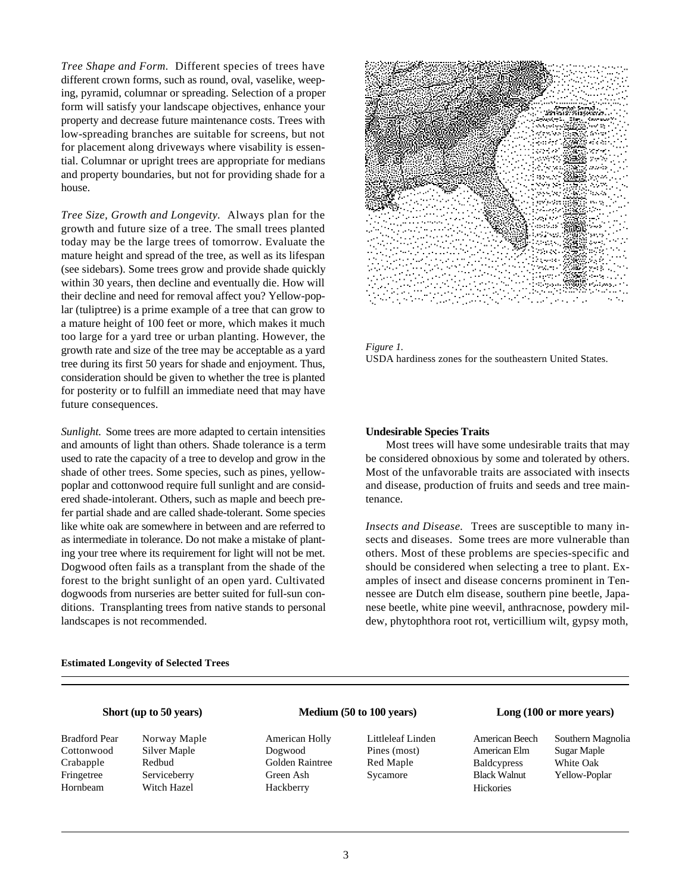*Tree Shape and Form.* Different species of trees have different crown forms, such as round, oval, vaselike, weeping, pyramid, columnar or spreading. Selection of a proper form will satisfy your landscape objectives, enhance your property and decrease future maintenance costs. Trees with low-spreading branches are suitable for screens, but not for placement along driveways where visability is essential. Columnar or upright trees are appropriate for medians and property boundaries, but not for providing shade for a house.

*Tree Size, Growth and Longevity.* Always plan for the growth and future size of a tree. The small trees planted today may be the large trees of tomorrow. Evaluate the mature height and spread of the tree, as well as its lifespan (see sidebars). Some trees grow and provide shade quickly within 30 years, then decline and eventually die. How will their decline and need for removal affect you? Yellow-poplar (tuliptree) is a prime example of a tree that can grow to a mature height of 100 feet or more, which makes it much too large for a yard tree or urban planting. However, the growth rate and size of the tree may be acceptable as a yard tree during its first 50 years for shade and enjoyment. Thus, consideration should be given to whether the tree is planted for posterity or to fulfill an immediate need that may have future consequences.

*Sunlight.* Some trees are more adapted to certain intensities and amounts of light than others. Shade tolerance is a term used to rate the capacity of a tree to develop and grow in the shade of other trees. Some species, such as pines, yellowpoplar and cottonwood require full sunlight and are considered shade-intolerant. Others, such as maple and beech prefer partial shade and are called shade-tolerant. Some species like white oak are somewhere in between and are referred to as intermediate in tolerance. Do not make a mistake of planting your tree where its requirement for light will not be met. Dogwood often fails as a transplant from the shade of the forest to the bright sunlight of an open yard. Cultivated dogwoods from nurseries are better suited for full-sun conditions. Transplanting trees from native stands to personal landscapes is not recommended.



*Figure 1.* USDA hardiness zones for the southeastern United States.

#### **Undesirable Species Traits**

Most trees will have some undesirable traits that may be considered obnoxious by some and tolerated by others. Most of the unfavorable traits are associated with insects and disease, production of fruits and seeds and tree maintenance.

*Insects and Disease.* Trees are susceptible to many insects and diseases. Some trees are more vulnerable than others. Most of these problems are species-specific and should be considered when selecting a tree to plant. Examples of insect and disease concerns prominent in Tennessee are Dutch elm disease, southern pine beetle, Japanese beetle, white pine weevil, anthracnose, powdery mildew, phytophthora root rot, verticillium wilt, gypsy moth,

#### **Estimated Longevity of Selected Trees**

### **Short (up to 50 years)**

Crabapple Redbud Hornbeam Witch Hazel

Bradford Pear Norway Maple Cottonwood Silver Maple Fringetree Serviceberry

# **Medium (50 to 100 years)**

American Holly Littleleaf Linden Dogwood Pines (most) Golden Raintree Red Maple Green Ash Sycamore Hackberry

#### **Long (100 or more years)**

American Elm Sugar Maple Baldcypress White Oak Hickories

American Beech Southern Magnolia Black Walnut Yellow-Poplar